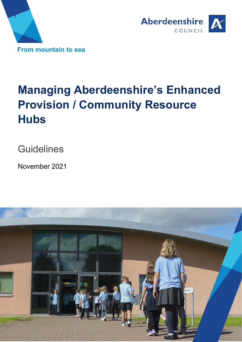



# **Managing Aberdeenshire's Enhanced Provision / Community Resource Hubs**

**Guidelines** 

November 2021

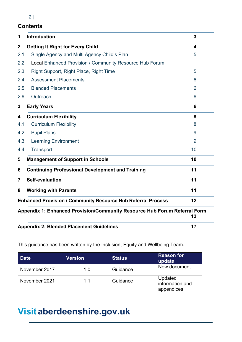# $2|$

# **Contents**

| 1                                | <b>Introduction</b>                                                       | 3  |  |  |  |  |
|----------------------------------|---------------------------------------------------------------------------|----|--|--|--|--|
| $\mathbf{2}$                     | <b>Getting It Right for Every Child</b>                                   | 4  |  |  |  |  |
| 2.1                              | Single Agency and Multi Agency Child's Plan                               | 5  |  |  |  |  |
| 2.2                              | Local Enhanced Provision / Community Resource Hub Forum                   |    |  |  |  |  |
| 2.3                              | Right Support, Right Place, Right Time                                    | 5  |  |  |  |  |
| 2.4                              | <b>Assessment Placements</b>                                              | 6  |  |  |  |  |
| 2.5                              | <b>Blended Placements</b>                                                 | 6  |  |  |  |  |
| 2.6                              | Outreach                                                                  | 6  |  |  |  |  |
| 3                                | <b>Early Years</b>                                                        | 6  |  |  |  |  |
| 4                                | <b>Curriculum Flexibility</b>                                             | 8  |  |  |  |  |
| 4.1                              | <b>Curriculum Flexibility</b>                                             | 8  |  |  |  |  |
| 4.2                              | <b>Pupil Plans</b>                                                        | 9  |  |  |  |  |
| 4.3                              | <b>Learning Environment</b>                                               | 9  |  |  |  |  |
| 4.4                              | Transport                                                                 | 10 |  |  |  |  |
| 5                                | <b>Management of Support in Schools</b>                                   | 10 |  |  |  |  |
| 6                                | <b>Continuing Professional Development and Training</b>                   | 11 |  |  |  |  |
| $\overline{7}$                   | Self-evaluation<br>11                                                     |    |  |  |  |  |
| <b>Working with Parents</b><br>8 |                                                                           |    |  |  |  |  |
|                                  | <b>Enhanced Provision / Community Resource Hub Referral Process</b><br>12 |    |  |  |  |  |
|                                  | Appendix 1: Enhanced Provision/Community Resource Hub Forum Referral Form | 13 |  |  |  |  |
|                                  | <b>Appendix 2: Blended Placement Guidelines</b>                           | 17 |  |  |  |  |

This guidance has been written by the Inclusion, Equity and Wellbeing Team.

| <b>Date</b>   | <b>Version</b> | <b>Status</b> | <b>Reason for</b><br>update              |
|---------------|----------------|---------------|------------------------------------------|
| November 2017 | 1.0            | Guidance      | New document                             |
| November 2021 | 11             | Guidance      | Updated<br>information and<br>appendices |

# **Visitaberdeenshire.gov.uk**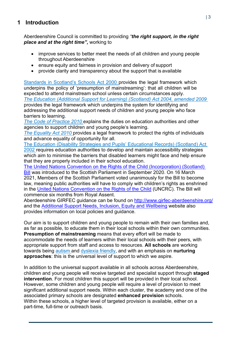# <span id="page-2-0"></span>**1 Introduction**

Aberdeenshire Council is committed to providing *"the right support, in the right place and at the right time",* working to

- improve services to better meet the needs of all children and young people throughout Aberdeenshire
- ensure equity and fairness in provision and delivery of support
- provide clarity and transparency about the support that is available

[Standards in Scotland's Schools Act 2000 p](http://www.legislation.gov.uk/asp/2000/6/contents)rovides the legal framework which underpins the policy of 'presumption of mainstreaming': that all children will be expected to attend mainstream school unless certain circumstances apply. *[The Education \(Additional Support for Learning\) \(Scotland\) Act 2004, amended 2009](http://www.scotland.gov.uk/Topics/Education/Schools/welfare/ASL)* provides the legal framework which underpins the system for identifying and

addressing the additional support needs of children and young people who face barriers to learning.

*[The Code of Practice 2010](http://www.scotland.gov.uk/Resource/Doc/348208/0116022.pdf)* explains the duties on education authorities and other agencies to support children and young people's learning.

*[The Equality Act 2010](https://www.gov.uk/equality-act-2010-guidance)* provides a legal framework to protect the rights of individuals and advance equality of opportunity for all.

[The Education \(Disability Strategies and Pupils' Educational Records\) \(Scotland\) Act](http://www.legislation.gov.uk/asp/2002/12/contents) [2002 r](http://www.legislation.gov.uk/asp/2002/12/contents)equires education authorities to develop and maintain accessibility strategies which aim to minimise the barriers that disabled learners might face and help ensure that they are properly included in their school education.

[The United Nations Convention on the Rights of the Child \(Incorporation\) \(Scotland\)](https://www.parliament.scot/bills-and-laws/bills/united-nations-convention-on-the-rights-of-the-child-incorporation-scotland-bill)  [Bill](https://www.parliament.scot/bills-and-laws/bills/united-nations-convention-on-the-rights-of-the-child-incorporation-scotland-bill) was introduced to the Scottish Parliament in September 2020. On 16 March 2021, Members of the Scottish Parliament voted unanimously for the Bill to become law, meaning public authorities will have to comply with children's rights as enshrined in the United Nations [Convention on the Rights of the Child](https://www.unicef.org/child-rights-convention/what-is-the-convention) (UNCRC). The Bill will commence six months from Royal Assent.

Aberdeenshire GIRFEC guidance can be found on<http://www.girfec-aberdeenshire.org/> and the [Additional Support Needs, Inclusion, Equity and Wellbeing](https://asn-aberdeenshire.org/) website also provides information on local policies and guidance.

Our aim is to support children and young people to remain with their own families and, as far as possible, to educate them in their local schools within their own communities. **Presumption of mainstreaming** means that every effort will be made to accommodate the needs of learners within their local schools with their peers, with appropriate support from staff and access to resources. **All schools** are working towards being [autism a](http://www.autismtoolbox.co.uk/)nd [dyslexia friendly,](http://addressingdyslexia.org/) and with an emphasis on **nurturing approaches**: this is the universal level of support to which we aspire.

In addition to the universal support available in all schools across Aberdeenshire, children and young people will receive targeted and specialist support through **staged intervention**. For most children this support will be provided in their local school. However, some children and young people will require a level of provision to meet significant additional support needs. Within each cluster, the academy and one of the associated primary schools are designated **enhanced provision** schools. Within these schools, a higher level of targeted provision is available, either on a part-time, full-time or outreach basis.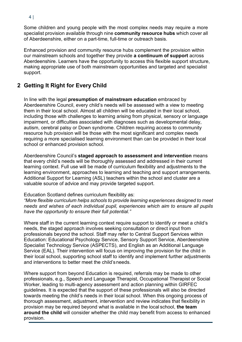4 |

Some children and young people with the most complex needs may require a more specialist provision available through nine **community resource hubs** which cover all of Aberdeenshire, either on a part-time, full-time or outreach basis.

Enhanced provision and community resource hubs complement the provision within our mainstream schools and together they provide **a continuum of support** across Aberdeenshire. Learners have the opportunity to access this flexible support structure, making appropriate use of both mainstream opportunities and targeted and specialist support.

# <span id="page-3-0"></span>**2 Getting It Right for Every Child**

In line with the legal **presumption of mainstream education** embraced by Aberdeenshire Council, every child's needs will be assessed with a view to meeting them in their local school. Almost all children will be educated in their local school, including those with challenges to learning arising from physical, sensory or language impairment, or difficulties associated with diagnoses such as developmental delay, autism, cerebral palsy or Down syndrome. Children requiring access to community resource hub provision will be those with the most significant and complex needs requiring a more specialised learning environment than can be provided in their local school or enhanced provision school.

Aberdeenshire Council's **staged approach to assessment and intervention** means that every child's needs will be thoroughly assessed and addressed in their current learning context. Full use will be made of curriculum flexibility and adjustments to the learning environment, approaches to learning and teaching and support arrangements. Additional Support for Learning (ASL) teachers within the school and cluster are a valuable source of advice and may provide targeted support.

Education Scotland defines curriculum flexibility as:

*"More flexible curriculum helps schools to provide learning experiences designed to meet needs and wishes of each individual pupil, experiences which aim to ensure all pupils have the opportunity to ensure their full potential."*

Where staff in the current learning context require support to identify or meet a child's needs, the staged approach involves seeking consultation or direct input from professionals beyond the school. Staff may refer to Central Support Services within Education: Educational Psychology Service, Sensory Support Service, Aberdeenshire Specialist Technology Service (ASPECTS), and English as an Additional Language Service (EAL). Their intervention will focus on improving the provision for the child in their local school, supporting school staff to identify and implement further adjustments and interventions to better meet the child'sneeds.

Where support from beyond Education is required, referrals may be made to other professionals, e.g., Speech and Language Therapist, Occupational Therapist or Social Worker, leading to multi-agency assessment and action planning within GIRFEC guidelines. It is expected that the support of these professionals will also be directed towards meeting the child's needs in their local school. When this ongoing process of thorough assessment, adjustment, intervention and review indicates that flexibility in provision may be required beyond what is available in the local school, **the team around the child** will consider whether the child may benefit from access to enhanced provision.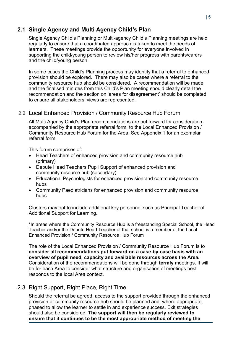# <span id="page-4-0"></span>**2.1 Single Agency and Multi Agency Child's Plan**

Single Agency Child's Planning or [Multi-agency Child's](http://www.girfec-aberdeenshire.org/guidance/) Planning meetings are held regularly to ensure that a coordinated approach is taken to meet the needs of learners. These meetings provide the opportunity for everyone involved in supporting the child/young person to review his/her progress with parents/carers and the child/young person.

In some cases the Child's Planning process may identify that a referral to enhanced provision should be explored. There may also be cases where a referral to the community resource hub should be considered. A recommendation will be made and the finalised minutes from this Child's Plan meeting should clearly detail the recommendation and the section on 'areas for disagreement' should be completed to ensure all stakeholders' views are represented.

#### 2.2 Local Enhanced Provision / Community Resource Hub Forum

All Multi Agency Child's Plan recommendations are put forward for consideration, accompanied by the appropriate referral form, to the Local Enhanced Provision / Community Resource Hub Forum for the Area. See Appendix 1 for an exemplar referral form.

This forum comprises of:

- Head Teachers of enhanced provision and community resource hub (primary)
- Depute Head Teachers Pupil Support of enhanced provision and community resource hub (secondary)
- Educational Psychologists for enhanced provision and community resource hubs
- Community Paediatricians for enhanced provision and community resource hubs

Clusters may opt to include additional key personnel such as Principal Teacher of Additional Support for Learning.

\*In areas where the Community Resource Hub is a freestanding Special School, the Head Teacher and/or the Depute Head Teacher of that school is a member of the Local Enhanced Provision / Community Resource Hub Forum

The role of the Local Enhanced Provision / Community Resource Hub Forum is to **consider all recommendations put forward on a case-by-case basis with an overview of pupil need, capacity and available resources across the Area.**  Consideration of the recommendations will be done through **termly** meetings. It will be for each Area to consider what structure and organisation of meetings best responds to the local Area context.

#### <span id="page-4-1"></span>2.3 Right Support, Right Place, Right Time

Should the referral be agreed, access to the support provided through the enhanced provision or community resource hub should be planned and, where appropriate, phased to allow the learner to settle in and experience success. Exit strategies should also be considered. **The support will then be regularly reviewed to ensure that it continues to be the most appropriate method of meeting the**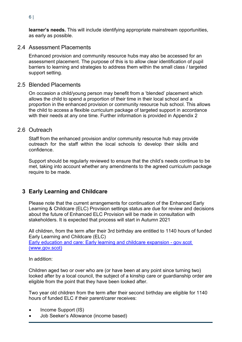6 |

**learner's needs.** This will include identifying appropriate mainstream opportunities, as early as possible.

#### <span id="page-5-0"></span>2.4 Assessment Placements

Enhanced provision and community resource hubs may also be accessed for an assessment placement. The purpose of this is to allow clear identification of pupil barriers to learning and strategies to address them within the small class / targeted support setting.

### <span id="page-5-1"></span>2.5 Blended Placements

On occasion a child/young person may benefit from a 'blended' placement which allows the child to spend a proportion of their time in their local school and a proportion in the enhanced provision or community resource hub school. This allows the child to access a flexible curriculum package of targeted support in accordance with their needs at any one time. Further information is provided in Appendix 2

#### <span id="page-5-2"></span>2.6 Outreach

Staff from the enhanced provision and/or community resource hub may provide outreach for the staff within the local schools to develop their skills and confidence.

Support should be regularly reviewed to ensure that the child's needs continue to be met, taking into account whether any amendments to the agreed curriculum package require to be made.

# **3 Early Learning and Childcare**

Please note that the current arrangements for continuation of the Enhanced Early Learning & Childcare (ELC) Provision settings status are due for review and decisions about the future of Enhanced ELC Provision will be made in consultation with stakeholders. It is expected that process will start in Autumn 2021

All children, from the term after their 3rd birthday are entitled to 1140 hours of funded Early Learning and Childcare (ELC) Early education and care: Early learning and childcare expansion - gov.scot (www.gov.scot)

In addition:

Children aged two or over who are (or have been at any point since turning two) looked after by a local council, the subject of a kinship care or guardianship order are eligible from the point that they have been looked after.

Two year old children from the term after their second birthday are eligible for 1140 hours of funded ELC if their parent/carer receives:

- Income Support (IS)
- Job Seeker's Allowance (income based)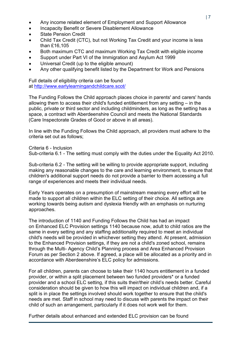- Any income related element of Employment and Support Allowance
- Incapacity Benefit or Severe Disablement Allowance
- State Pension Credit
- Child Tax Credit (CTC), but not Working Tax Credit and your income is less than £16,105
- Both maximum CTC and maximum Working Tax Credit with eligible income
- Support under Part VI of the Immigration and Asylum Act 1999
- Universal Credit (up to the eligible amount)
- Any other qualifying benefit listed by the Department for Work and Pensions

Full details of eligibility criteria can be found at <http://www.earlylearningandchildcare.scot/>

The Funding Follows the Child approach places choice in parents' and carers' hands allowing them to access their child's funded entitlement from any setting – in the public, private or third sector and including childminders, as long as the setting has a space, a contract with Aberdeenshire Council and meets the National Standards (Care Inspectorate Grades of Good or above in all areas).

In line with the Funding Follows the Child approach, all providers must adhere to the criteria set out as follows;

Criteria 6 - Inclusion

Sub-criteria 6.1 - The setting must comply with the duties under the Equality Act 2010.

Sub-criteria 6.2 - The setting will be willing to provide appropriate support, including making any reasonable changes to the care and learning environment, to ensure that children's additional support needs do not provide a barrier to them accessing a full range of experiences and meets their individual needs.

Early Years operates on a presumption of mainstream meaning every effort will be made to support all children within the ELC setting of their choice. All settings are working towards being autism and dyslexia friendly with an emphasis on nurturing approaches.

The introduction of 1140 and Funding Follows the Child has had an impact on Enhanced ELC Provision settings 1140 because now, adult to child ratios are the same in every setting and any staffing additionality required to meet an individual child's needs will be provided in whichever setting they attend. At present, admission to the Enhanced Provision settings, if they are not a child's zoned school, remains through the Multi- Agency Child's Planning process and Area Enhanced Provision Forum as per Section 2 above. If agreed, a place will be allocated as a priority and in accordance with Aberdeenshire's ELC policy for admissions.

For all children, parents can choose to take their 1140 hours entitlement in a funded provider, or within a split placement between two funded providers\* or a funded provider and a school ELC setting, if this suits their/their child's needs better. Careful consideration should be given to how this will impact on individual children and, if a split is in place the settings involved should work together to ensure that the child's needs are met. Staff in school may need to discuss with parents the impact on their child of such an arrangement, particularly if it does not work well for them.

Further details about enhanced and extended ELC provision can be found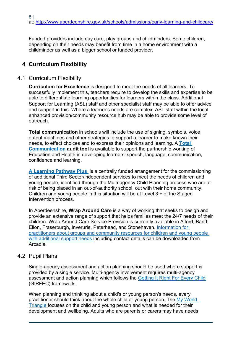Funded providers include day care, play groups and childminders. Some children, depending on their needs may benefit from time in a home environment with a childminder as well as a bigger school or funded provider.

# <span id="page-7-0"></span>**4 Curriculum Flexibility**

#### <span id="page-7-1"></span>4.1 Curriculum Flexibility

**Curriculum for Excellence** is designed to meet the needs of all learners. To successfully implement this, teachers require to develop the skills and expertise to be able to differentiate learning opportunities for learners within the class. Additional Support for Learning (ASL) staff and other specialist staff may be able to offer advice and support in this. Where a learner's needs are complex, ASL staff within the local enhanced provision/community resource hub may be able to provide some level of outreach.

**Total communication** in schools will include the use of signing, symbols, voice output machines and other strategies to support a learner to make known their needs, to effect choices and to express their opinions and learning. A **[Total](http://asn-aberdeenshire.org/policies-and-guidance/) [Communication a](http://asn-aberdeenshire.org/policies-and-guidance/)udit tool** is available to support the partnership working of Education and Health in developing learners' speech, language, communication, confidence and learning.

**[A Learning Pathway Plus](http://asn-aberdeenshire.org/policies-and-guidance/)** is a centrally funded arrangement for the commissioning of additional Third Sector/independent services to meet the needs of children and young people, identified through the Multi-agency Child Planning process who are at risk of being placed in an out-of-authority school, out with their home community. Children and young people in this situation will be at Level 3 + of the Staged Intervention process.

In Aberdeenshire, **Wrap Around Care** is a way of working that seeks to design and provide an extensive range of support that helps families meet the 24/7 needs of their children. Wrap Around Care Service Provision is currently available in Alford, Banff, Ellon, Fraserburgh, Inverurie, Peterhead, and Stonehaven. [Information for](https://arcadia.ad.aberdeenshire.gov.uk/services/Pages/Health%20and%20Social%20Care/Social%20Care/Self-directed%20Support/SDS%20Guidance/Children%27s-Services.aspx)  [practitioners about](https://arcadia.ad.aberdeenshire.gov.uk/services/Pages/Health%20and%20Social%20Care/Social%20Care/Self-directed%20Support/SDS%20Guidance/Children%27s-Services.aspx) [groups and community resources for children and young people](https://arcadia.ad.aberdeenshire.gov.uk/services/Pages/Health%20and%20Social%20Care/Social%20Care/Self-directed%20Support/SDS%20Guidance/Children%27s-Services.aspx)  [with additional](https://arcadia.ad.aberdeenshire.gov.uk/services/Pages/Health%20and%20Social%20Care/Social%20Care/Self-directed%20Support/SDS%20Guidance/Children%27s-Services.aspx) [support needs i](https://arcadia.ad.aberdeenshire.gov.uk/services/Pages/Health%20and%20Social%20Care/Social%20Care/Self-directed%20Support/SDS%20Guidance/Children%27s-Services.aspx)ncluding contact details can be downloaded from Arcadia.

#### <span id="page-7-2"></span>4.2 Pupil Plans

Single-agency assessment and action planning should be used where support is provided by a single service. Multi-agency involvement requires multi-agency assessment and action planning which follows the [Getting It Right For Every Child](http://www.girfec-aberdeenshire.org/) (GIRFEC) framework.

When planning and thinking about a child's or young person's needs, every practitioner should think about the whole child or young person. The [My World](http://www.girfec-aberdeenshire.org/practitioners/practitioners-toolkit/) [Triangle f](http://www.girfec-aberdeenshire.org/practitioners/practitioners-toolkit/)ocuses on the child and young person and what is needed for their development and wellbeing. Adults who are parents or carers may have needs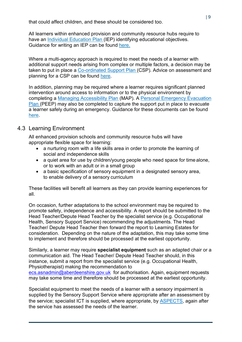that could affect children, and these should be considered too.

All learners within enhanced provision and community resource hubs require to have an [Individual Education Plan \(](http://asn-aberdeenshire.org/planning-documentation/)IEP) identifying educational objectives. Guidance for writing an IEP can be found [here.](http://asn-aberdeenshire.org/policies-and-guidance/)

Where a multi-agency approach is required to meet the needs of a learner with additional support needs arising from complex or multiple factors, a decision may be taken to put in place a [Co-ordinated Support Plan \(](http://asn-aberdeenshire.org/policies-and-guidance/)CSP). Advice on assessment and planning for a CSP can be found [here.](http://asn-aberdeenshire.org/policies-and-guidance/)

In addition, planning may be required where a learner requires significant planned intervention around access to information or to the physical environment by completing a [Managing Accessibility Plan](http://asn-aberdeenshire.org/policies-and-guidance/) (MAP). A [Personal Emergency Evacuation](http://asn-aberdeenshire.org/policies-and-guidance/) [Plan \(](http://asn-aberdeenshire.org/policies-and-guidance/)PEEP) may also be completed to capture the support put in place to evacuate a learner safely during an emergency. Guidance for these documents can be found [here.](http://asn-aberdeenshire.org/policies-and-guidance/)

# <span id="page-8-0"></span>4.3 Learning Environment

All enhanced provision schools and community resource hubs will have appropriate flexible space for learning:

- a nurturing room with a life skills area in order to promote the learning of social and independence skills
- a quiet area for use by children/young people who need space for time alone, or to work with an adult or in a small group
- a basic specification of sensory equipment in a designated sensory area, to enable delivery of a sensory curriculum

These facilities will benefit all learners as they can provide learning experiences for all.

On occasion, further adaptations to the school environment may be required to promote safety, independence and accessibility. A report should be submitted to the Head Teacher/Depute Head Teacher by the specialist service (e.g. Occupational Health, Sensory Support Service) recommending the adjustments. The Head Teacher/ Depute Head Teacher then forward the report to Learning Estates for consideration. Depending on the nature of the adaptation, this may take some time to implement and therefore should be processed at the earliest opportunity.

Similarly, a learner may require **specialist equipment** such as an adapted chair or a communication aid. The Head Teacher/ Depute Head Teacher should, in this instance, submit a report from the specialist service (e.g. Occupational Health, Physiotherapist) making the recommendation to

[ecs.asnadmin@aberdeenshire.gov.uk](mailto:ecs.asnadmin@aberdeenshire.gov.uk) for authorisation. Again, equipment requests may take some time and therefore should be processed at the earliest opportunity.

Specialist equipment to meet the needs of a learner with a sensory impairment is supplied by the Sensory Support Service where appropriate after an assessment by the service; specialist ICT is supplied, where appropriate, by [ASPECTS,](http://www.aberdeenshire.gov.uk/schools/additional-support-needs/aspects/) again after the service has assessed the needs of the learner.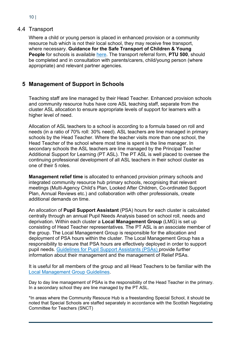#### $10<sup>1</sup>$

#### <span id="page-9-0"></span>4.4 Transport

Where a child or young person is placed in enhanced provision or a community resource hub which is not their local school, they may receive free transport, where necessary. **Guidance for the Safe Transport of Children & Young People** for schools is available [here.](http://asn-aberdeenshire.org/policies-and-guidance/) The transport referral form, **PTU 500**, should be completed and in consultation with parents/carers, child/young person (where appropriate) and relevant partner agencies.

# <span id="page-9-1"></span>**5 Management of Support in Schools**

Teaching staff are line managed by their Head Teacher. Enhanced provision schools and community resource hubs have core ASL teaching staff, separate from the cluster ASL allocation to ensure appropriate levels of support for learners with a higher level of need.

Allocation of ASL teachers to a school is according to a formula based on roll and needs (in a ratio of 70% roll: 30% need). ASL teachers are line managed in primary schools by the Head Teacher. Where the teacher visits more than one school, the Head Teacher of the school where most time is spent is the line manager. In secondary schools the ASL teachers are line managed by the Principal Teacher Additional Support for Learning (PT ASL). The PT ASL is well placed to oversee the continuing professional development of all ASL teachers in their school cluster as one of their 5 roles.

**Management relief time** is allocated to enhanced provision primary schools and integrated community resource hub primary schools, recognising that relevant meetings (Multi-Agency Child's Plan, Looked After Children, Co-ordinated Support Plan, Annual Reviews etc.) and collaboration with other professionals, create additional demands on time.

An allocation of **Pupil Support Assistant** (PSA) hours for each cluster is calculated centrally through an annual Pupil Needs Analysis based on school roll, needs and deprivation. Within each cluster a **Local Management Group** (LMG) is set up consisting of Head Teacher representatives. The PT ASL is an associate member of the group. The Local Management Group is responsible for the allocation and deployment of PSA hours within the cluster. The Local Management Group has a responsibility to ensure that PSA hours are effectively deployed in order to support pupil needs. Guidelines for Pupil Support Assistants (PSAs) provide further information about their management and the management of Relief PSAs.

It is useful for all members of the group and all Head Teachers to be familiar with the [Local Management Group Guidelines.](http://www.eis.org.uk/aberdeenshire/images/pdf/managing%20allocation%20of%20support%20staff.pdf)

Day to day line management of PSAs is the responsibility of the Head Teacher in the primary. In a secondary school they are line managed by the PT ASL.

\*In areas where the Community Resouce Hub is a freestanding Special School, it should be noted that Special Schools are staffed separately in accordance with the Scottish Negotiating Committee for Teachers (SNCT)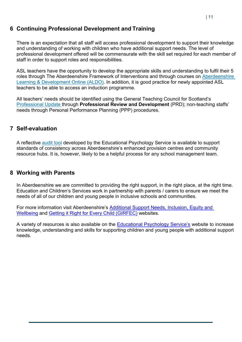# <span id="page-10-0"></span>**6 Continuing Professional Development and Training**

There is an expectation that all staff will access professional development to support their knowledge and understanding of working with children who have additional support needs. The level of professional development offered will be commensurate with the skill set required for each member of staff in order to support roles and responsibilities.

ASL teachers have the opportunity to develop the appropriate skills and understanding to fulfil their 5 roles through The Aberdeenshire Framework of Interventions and through courses on [Aberdeenshire](http://aldo.aberdeenshire.gov.uk/)  [Learning &](http://aldo.aberdeenshire.gov.uk/) [Development Online \(ALDO\).](http://aldo.aberdeenshire.gov.uk/) In addition, it is good practice for newly appointed ASL teachers to be able to access an induction programme.

All teachers' needs should be identified using the General Teaching Council for Scotland's [Professional Update](https://www.gtcs.org.uk/GTCS-login.aspx) through **Professional Review and Development** (PRD); non-teaching staffs' needs through Personal Performance Planning (PPP) procedures.

# <span id="page-10-1"></span>**7 Self-evaluation**

A reflective [audit tool](http://asn-aberdeenshire.org/policies-and-guidance/) developed by the Educational Psychology Service is available to support standards of consistency across Aberdeenshire's enhanced provision centres and community resource hubs. It is, however, likely to be a helpful process for any school management team.

### <span id="page-10-2"></span>**8 Working with Parents**

In Aberdeenshire we are committed to providing the right support, in the right place, at the right time. Education and Children's Services work in partnership with parents / carers to ensure we meet the needs of all of our children and young people in inclusive schools and communities.

For more information visit Aberdeenshire's [Additional Support Needs, Inclusion, Equity and](https://asn-aberdeenshire.org/)  [Wellbeing](https://asn-aberdeenshire.org/) and [Getting it Right for Every Child \(GIRFEC\)](http://www.girfec-aberdeenshire.org/) websites.

<span id="page-10-3"></span>A variety of resources is also available on the [Educational Psychology Service's](https://blogs.glowscotland.org.uk/as/aberdeenshireeps/) website to increase knowledge, understanding and skills for supporting children and young people with additional support needs.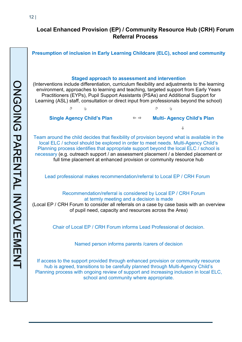# **Local Enhanced Provision (EP) / Community Resource Hub (CRH) Forum Referral Process**

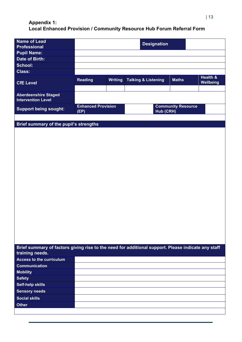# <span id="page-12-0"></span>**Appendix 1: Local Enhanced Provision / Community Resource Hub Forum Referral Form**

| <b>Name of Lead</b><br><b>Professional</b>                                                                            | <b>Designation</b>                |                |                                |                           |           |
|-----------------------------------------------------------------------------------------------------------------------|-----------------------------------|----------------|--------------------------------|---------------------------|-----------|
| <b>Pupil Name:</b>                                                                                                    |                                   |                |                                |                           |           |
| Date of Birth:                                                                                                        |                                   |                |                                |                           |           |
| <b>School:</b>                                                                                                        |                                   |                |                                |                           |           |
| <b>Class:</b>                                                                                                         |                                   |                |                                |                           |           |
|                                                                                                                       | <b>Reading</b>                    | <b>Writing</b> | <b>Talking &amp; Listening</b> | <b>Maths</b>              | Health &  |
| <b>CfE Level</b>                                                                                                      |                                   |                |                                |                           | Wellbeing |
|                                                                                                                       |                                   |                |                                |                           |           |
| <b>Aberdeenshire Staged</b><br><b>Intervention Level</b>                                                              |                                   |                |                                |                           |           |
| <b>Support being sought:</b>                                                                                          | <b>Enhanced Provision</b><br>(EP) |                | Hub (CRH)                      | <b>Community Resource</b> |           |
|                                                                                                                       |                                   |                |                                |                           |           |
| Brief summary of the pupil's strengths                                                                                |                                   |                |                                |                           |           |
|                                                                                                                       |                                   |                |                                |                           |           |
|                                                                                                                       |                                   |                |                                |                           |           |
|                                                                                                                       |                                   |                |                                |                           |           |
|                                                                                                                       |                                   |                |                                |                           |           |
|                                                                                                                       |                                   |                |                                |                           |           |
|                                                                                                                       |                                   |                |                                |                           |           |
|                                                                                                                       |                                   |                |                                |                           |           |
|                                                                                                                       |                                   |                |                                |                           |           |
|                                                                                                                       |                                   |                |                                |                           |           |
|                                                                                                                       |                                   |                |                                |                           |           |
|                                                                                                                       |                                   |                |                                |                           |           |
|                                                                                                                       |                                   |                |                                |                           |           |
|                                                                                                                       |                                   |                |                                |                           |           |
|                                                                                                                       |                                   |                |                                |                           |           |
|                                                                                                                       |                                   |                |                                |                           |           |
|                                                                                                                       |                                   |                |                                |                           |           |
|                                                                                                                       |                                   |                |                                |                           |           |
|                                                                                                                       |                                   |                |                                |                           |           |
|                                                                                                                       |                                   |                |                                |                           |           |
| Brief summary of factors giving rise to the need for additional support. Please indicate any staff<br>training needs. |                                   |                |                                |                           |           |
| <b>Access to the curriculum</b>                                                                                       |                                   |                |                                |                           |           |
| <b>Communication</b>                                                                                                  |                                   |                |                                |                           |           |
| <b>Mobility</b>                                                                                                       |                                   |                |                                |                           |           |
| <b>Safety</b>                                                                                                         |                                   |                |                                |                           |           |
| <b>Self-help skills</b>                                                                                               |                                   |                |                                |                           |           |
| <b>Sensory needs</b>                                                                                                  |                                   |                |                                |                           |           |
| <b>Social skills</b>                                                                                                  |                                   |                |                                |                           |           |
| <b>Other</b>                                                                                                          |                                   |                |                                |                           |           |
|                                                                                                                       |                                   |                |                                |                           |           |
|                                                                                                                       |                                   |                |                                |                           |           |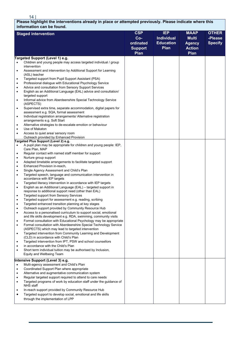<u>14 |</u>

**Please highlight the interventions already in place or attempted previously. Please indicate where this information can be found.**

|                | <b>HUGHOLL</b> OULL                                                                                                                     |                |                   |               |                |
|----------------|-----------------------------------------------------------------------------------------------------------------------------------------|----------------|-------------------|---------------|----------------|
|                | <b>Staged intervention</b>                                                                                                              | <b>CSP</b>     | <b>IEP</b>        | <b>MAAP</b>   | <b>OTHER</b>   |
|                |                                                                                                                                         | $Co-$          | <b>Individual</b> | <b>Multi</b>  | -Please        |
|                |                                                                                                                                         | ordinated      | <b>Education</b>  | <b>Agency</b> | <b>Specify</b> |
|                |                                                                                                                                         | <b>Support</b> | Plan              | <b>Action</b> |                |
|                |                                                                                                                                         | Plan           |                   | Plan          |                |
|                | Targeted Support (Level 1) e.g.                                                                                                         |                |                   |               |                |
| $\bullet$      | Children and young people may access targeted individual / group                                                                        |                |                   |               |                |
|                | intervention                                                                                                                            |                |                   |               |                |
| $\bullet$      | Assessment and intervention by Additional Support for Learning                                                                          |                |                   |               |                |
|                | (ASL) teacher                                                                                                                           |                |                   |               |                |
| ٠              | Targeted support from Pupil Support Assistant (PSA)<br>Professional dialogue with Educational Psychology Service                        |                |                   |               |                |
| ٠<br>$\bullet$ | Advice and consultation from Sensory Support Services                                                                                   |                |                   |               |                |
| $\bullet$      | English as an Additional Language (EAL) advice and consultation/                                                                        |                |                   |               |                |
|                | targeted support                                                                                                                        |                |                   |               |                |
| $\bullet$      | Informal advice from Aberdeenshire Special Technology Service                                                                           |                |                   |               |                |
|                | (ASPECTS)                                                                                                                               |                |                   |               |                |
| $\bullet$      | Supervised extra time, separate accommodation, digital papers for                                                                       |                |                   |               |                |
|                | assessment e.g. SQA, formal assessment                                                                                                  |                |                   |               |                |
| $\bullet$      | Individual registration arrangements/ Alternative registration                                                                          |                |                   |               |                |
|                | arrangements e.g. Soft Start                                                                                                            |                |                   |               |                |
| $\bullet$      | Alternative strategies to de-escalate emotion or behaviour                                                                              |                |                   |               |                |
| $\bullet$      | Use of Makaton                                                                                                                          |                |                   |               |                |
| $\bullet$      | Access to quiet area/ sensory room                                                                                                      |                |                   |               |                |
|                | Outreach provided by Enhanced Provision<br>Targeted Plus Support (Level 2) e.g.                                                         |                |                   |               |                |
| $\bullet$      | A pupil plan may be appropriate for children and young people: IEP,                                                                     |                |                   |               |                |
|                | Care Plan, MAP                                                                                                                          |                |                   |               |                |
| ٠              | Regular contact with named staff member for support                                                                                     |                |                   |               |                |
| $\bullet$      | Nurture group support                                                                                                                   |                |                   |               |                |
| ٠              | Adapted timetable arrangements to facilitate targeted support                                                                           |                |                   |               |                |
| $\bullet$      | Enhanced Provision in-reach,                                                                                                            |                |                   |               |                |
| $\bullet$      | Single Agency Assessment and Child's Plan                                                                                               |                |                   |               |                |
| $\bullet$      | Targeted speech, language and communication intervention in                                                                             |                |                   |               |                |
|                | accordance with IEP targets                                                                                                             |                |                   |               |                |
| $\bullet$      | Targeted literacy intervention in accordance with IEP targets                                                                           |                |                   |               |                |
| $\bullet$      | English as an Additional Language (EAL) - targeted support in                                                                           |                |                   |               |                |
|                | response to additional support need (other than EAL)                                                                                    |                |                   |               |                |
| $\bullet$      | Targeted support from Sensory Services                                                                                                  |                |                   |               |                |
| $\bullet$      | Targeted support for assessment e.g. reading, scribing                                                                                  |                |                   |               |                |
| $\bullet$      | Targeted enhanced transition planning at key stages                                                                                     |                |                   |               |                |
| $\bullet$      | Outreach support provided by Community Resource Hub                                                                                     |                |                   |               |                |
|                | Access to a personalised curriculum to support social, emotional                                                                        |                |                   |               |                |
|                | and life skills development e.g. RDA, swimming, community visits                                                                        |                |                   |               |                |
| $\bullet$      | Formal consultation with Educational Psychology may be appropriate<br>Formal consultation with Aberdeenshire Special Technology Service |                |                   |               |                |
| $\bullet$      | (ASPECTS) which may lead to targeted intervention                                                                                       |                |                   |               |                |
| $\bullet$      | Targeted intervention from Community Learning and Development                                                                           |                |                   |               |                |
|                | (CLD) in accordance with Child's Plan                                                                                                   |                |                   |               |                |
| ٠              | Targeted intervention from IPT, PSW and school counsellors                                                                              |                |                   |               |                |
| $\bullet$      | in accordance with the Child's Plan                                                                                                     |                |                   |               |                |
| $\bullet$      | Short term individual tuition may be authorised by Inclusion,                                                                           |                |                   |               |                |
|                | Equity and Wellbeing Team                                                                                                               |                |                   |               |                |
|                | Intensive Support (Level 3) e.g.                                                                                                        |                |                   |               |                |
| $\bullet$      | Multi-agency assessment and Child's Plan                                                                                                |                |                   |               |                |
| $\bullet$      | Coordinated Support Plan where appropriate                                                                                              |                |                   |               |                |
| $\bullet$      | Alternative and augmentative communication system                                                                                       |                |                   |               |                |
| $\bullet$      | Regular targeted support required to attend to care needs                                                                               |                |                   |               |                |
| $\bullet$      | Targeted programs of work by education staff under the guidance of                                                                      |                |                   |               |                |
|                | NHS staff                                                                                                                               |                |                   |               |                |
| ٠              | In-reach support provided by Community Resource Hub                                                                                     |                |                   |               |                |
| $\bullet$      | Targeted support to develop social, emotional and life skills                                                                           |                |                   |               |                |
|                | through the implementation of LPP                                                                                                       |                |                   |               |                |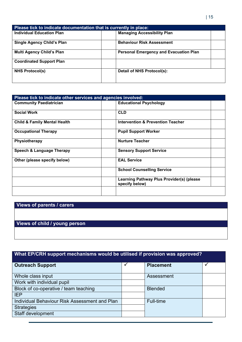| Please tick to indicate documentation that is currently in place: |                                               |  |  |
|-------------------------------------------------------------------|-----------------------------------------------|--|--|
| <b>Individual Education Plan</b>                                  | <b>Managing Accessibility Plan</b>            |  |  |
| <b>Single Agency Child's Plan</b>                                 | <b>Behaviour Risk Assessment</b>              |  |  |
| <b>Multi Agency Child's Plan</b>                                  | <b>Personal Emergency and Evacuation Plan</b> |  |  |
| <b>Coordinated Support Plan</b>                                   |                                               |  |  |
| <b>NHS Protocol(s)</b>                                            | Detail of NHS Protocol(s):                    |  |  |

| Please tick to indicate other services and agencies involved: |                                                             |  |  |
|---------------------------------------------------------------|-------------------------------------------------------------|--|--|
| <b>Community Paediatrician</b>                                | <b>Educational Psychology</b>                               |  |  |
| <b>Social Work</b>                                            | <b>CLD</b>                                                  |  |  |
| <b>Child &amp; Family Mental Health</b>                       | <b>Intervention &amp; Prevention Teacher</b>                |  |  |
| <b>Occupational Therapy</b>                                   | <b>Pupil Support Worker</b>                                 |  |  |
| <b>Physiotherapy</b>                                          | <b>Nurture Teacher</b>                                      |  |  |
| Speech & Language Therapy                                     | <b>Sensory Support Service</b>                              |  |  |
| Other (please specify below)                                  | <b>EAL Service</b>                                          |  |  |
|                                                               | <b>School Counselling Service</b>                           |  |  |
|                                                               | Learning Pathway Plus Provider(s) (please<br>specify below) |  |  |
|                                                               |                                                             |  |  |

# **Views of parents / carers**

# **Views of child / young person**

# **What EP/CRH support mechanisms would be utilised if provision was approved?**

| <b>Outreach Support</b>                       | <b>Placement</b> |  |
|-----------------------------------------------|------------------|--|
| Whole class input                             | Assessment       |  |
| Work with individual pupil                    |                  |  |
| Block of co-operative / team teaching         | <b>Blended</b>   |  |
| <b>IEP</b>                                    |                  |  |
| Individual Behaviour Risk Assessment and Plan | Full-time        |  |
| <b>Strategies</b>                             |                  |  |
| Staff development                             |                  |  |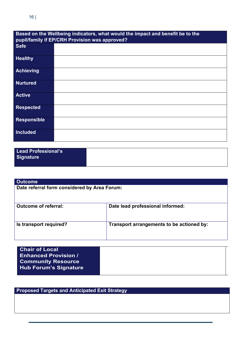| Based on the Wellbeing indicators, what would the impact and benefit be to the<br>pupil/family if EP/CRH Provision was approved? |  |  |  |  |
|----------------------------------------------------------------------------------------------------------------------------------|--|--|--|--|
| <b>Safe</b>                                                                                                                      |  |  |  |  |
| <b>Healthy</b>                                                                                                                   |  |  |  |  |
| <b>Achieving</b>                                                                                                                 |  |  |  |  |
| <b>Nurtured</b>                                                                                                                  |  |  |  |  |
| <b>Active</b>                                                                                                                    |  |  |  |  |
| <b>Respected</b>                                                                                                                 |  |  |  |  |
| <b>Responsible</b>                                                                                                               |  |  |  |  |
| <b>Included</b>                                                                                                                  |  |  |  |  |

| Lead Professional's |  |
|---------------------|--|
| Signature           |  |
|                     |  |

| <b>Outcome</b>                               |                                           |  |  |
|----------------------------------------------|-------------------------------------------|--|--|
| Date referral form considered by Area Forum: |                                           |  |  |
| <b>Outcome of referral:</b>                  | Date lead professional informed:          |  |  |
| Is transport required?                       | Transport arrangements to be actioned by: |  |  |

| <b>Chair of Local</b>        |  |
|------------------------------|--|
| <b>Enhanced Provision /</b>  |  |
| <b>Community Resource</b>    |  |
| <b>Hub Forum's Signature</b> |  |
|                              |  |

**Proposed Targets and Anticipated Exit Strategy**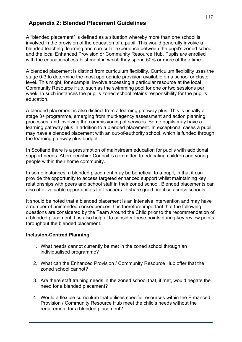# <span id="page-16-0"></span>**Appendix 2: Blended Placement Guidelines**

A "blended placement" is defined as a situation whereby more than one school is involved in the provision of the education of a pupil. This would generally involve a blended teaching, learning and curricular experience between the pupil's zoned school and the local Enhanced Provision or Community Resource Hub. Pupils are enrolled with the educational establishment in which they spend 50% or more of their time.

A blended placement is distinct from curriculum flexibility. Curriculum flexibility uses the stage 0-3 to determine the most appropriate provision available on a school or cluster level. This might, for example, involve accessing a particular resource at the local Community Resource Hub, such as the swimming pool for one or two sessions per week. In such instances the pupil's zoned school retains responsibility for the pupil's education.

A blended placement is also distinct from a learning pathway plus. This is usually a stage 3+ programme, emerging from multi-agency assessment and action planning processes, and involving the commissioning of services. Some pupils may have a learning pathway plus in addition to a blended placement. In exceptional cases a pupil may have a blended placement with an out-of-authority school, which is funded through the learning pathway plus budget.

In Scotland there is a presumption of mainstream education for pupils with additional support needs. Aberdeenshire Council is committed to educating children and young people within their home community.

In some instances, a blended placement may be beneficial to a pupil, in that it can provide the opportunity to access targeted enhanced support whilst maintaining key relationships with peers and school staff in their zoned school. Blended placements can also offer valuable opportunities for teachers to share good practice across schools.

It should be noted that a blended placement is an intensive intervention and may have a number of unintended consequences. It is therefore important that the following questions are considered by the Team Around the Child prior to the recommendation of a blended placement. It is also helpful to consider these points during key review points throughout the blended placement.

#### **Inclusion-Centred Planning**

- 1. What needs cannot currently be met in the zoned school through an individualised programme?
- 2. What can the Enhanced Provision / Community Resource Hub offer that the zoned school cannot?
- 3. Are there staff training needs in the zoned school that, if met, would negate the need for a blended placement?
- 4. Would a flexible curriculum that utilises specific resources within the Enhanced Provision / Community Resource Hub meet the child's needs without the requirement for a blended placement?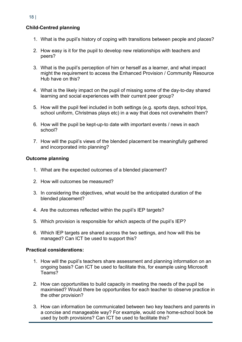#### **Child-Centred planning**

- 1. What is the pupil's history of coping with transitions between people and places?
- 2. How easy is it for the pupil to develop new relationships with teachers and peers?
- 3. What is the pupil's perception of him or herself as a learner, and what impact might the requirement to access the Enhanced Provision / Community Resource Hub have on this?
- 4. What is the likely impact on the pupil of missing some of the day-to-day shared learning and social experiences with their current peer group?
- 5. How will the pupil feel included in both settings (e.g. sports days, school trips, school uniform, Christmas plays etc) in a way that does not overwhelm them?
- 6. How will the pupil be kept-up-to date with important events / news in each school?
- 7. How will the pupil's views of the blended placement be meaningfully gathered and incorporated into planning?

#### **Outcome planning**

- 1. What are the expected outcomes of a blended placement?
- 2. How will outcomes be measured?
- 3. In considering the objectives, what would be the anticipated duration of the blended placement?
- 4. Are the outcomes reflected within the pupil's IEP targets?
- 5. Which provision is responsible for which aspects of the pupil's IEP?
- 6. Which IEP targets are shared across the two settings, and how will this be managed? Can ICT be used to support this?

#### **Practical considerations:**

- 1. How will the pupil's teachers share assessment and planning information on an ongoing basis? Can ICT be used to facilitate this, for example using Microsoft Teams?
- 2. How can opportunities to build capacity in meeting the needs of the pupil be maximised? Would there be opportunities for each teacher to observe practice in the other provision?
- 3. How can information be communicated between two key teachers and parents in a concise and manageable way? For example, would one home-school book be used by both provisions? Can ICT be used to facilitate this?

18 |